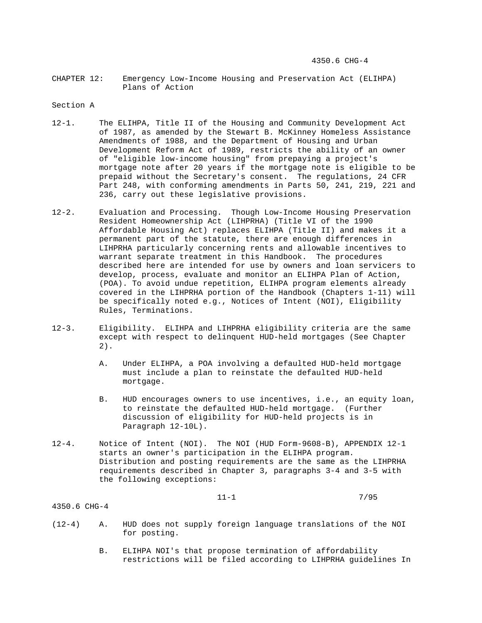CHAPTER 12: Emergency Low-Income Housing and Preservation Act (ELIHPA) Plans of Action

Section A

- 12-1. The ELIHPA, Title II of the Housing and Community Development Act of 1987, as amended by the Stewart B. McKinney Homeless Assistance Amendments of 1988, and the Department of Housing and Urban Development Reform Act of 1989, restricts the ability of an owner of "eligible low-income housing" from prepaying a project's mortgage note after 20 years if the mortgage note is eligible to be prepaid without the Secretary's consent. The regulations, 24 CFR Part 248, with conforming amendments in Parts 50, 241, 219, 221 and 236, carry out these legislative provisions.
- 12-2. Evaluation and Processing. Though Low-Income Housing Preservation Resident Homeownership Act (LIHPRHA) (Title VI of the 1990 Affordable Housing Act) replaces ELIHPA (Title II) and makes it a permanent part of the statute, there are enough differences in LIHPRHA particularly concerning rents and allowable incentives to warrant separate treatment in this Handbook. The procedures described here are intended for use by owners and loan servicers to develop, process, evaluate and monitor an ELIHPA Plan of Action, (POA). To avoid undue repetition, ELIHPA program elements already covered in the LIHPRHA portion of the Handbook (Chapters 1-11) will be specifically noted e.g., Notices of Intent (NOI), Eligibility Rules, Terminations.
- 12-3. Eligibility. ELIHPA and LIHPRHA eligibility criteria are the same except with respect to delinquent HUD-held mortgages (See Chapter 2).
	- A. Under ELIHPA, a POA involving a defaulted HUD-held mortgage must include a plan to reinstate the defaulted HUD-held mortgage.
	- B. HUD encourages owners to use incentives, i.e., an equity loan, to reinstate the defaulted HUD-held mortgage. (Further discussion of eligibility for HUD-held projects is in Paragraph 12-10L).
- 12-4. Notice of Intent (NOI). The NOI (HUD Form-9608-B), APPENDIX 12-1 starts an owner's participation in the ELIHPA program. Distribution and posting requirements are the same as the LIHPRHA requirements described in Chapter 3, paragraphs 3-4 and 3-5 with the following exceptions:

11-1 7/95

- (12-4) A. HUD does not supply foreign language translations of the NOI for posting.
	- B. ELIHPA NOI's that propose termination of affordability restrictions will be filed according to LIHPRHA guidelines In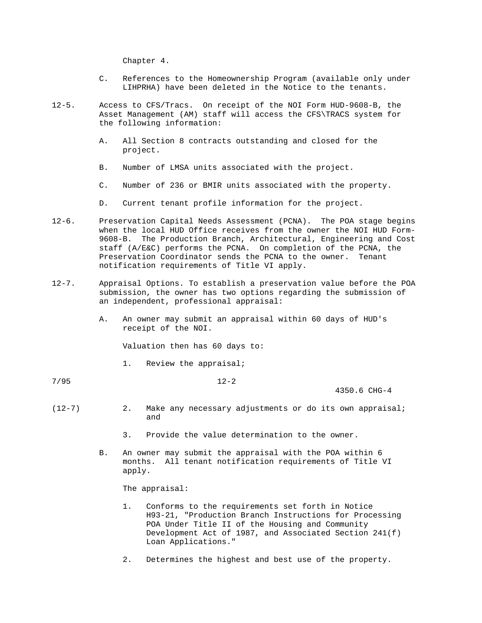Chapter 4.

- C. References to the Homeownership Program (available only under LIHPRHA) have been deleted in the Notice to the tenants.
- 12-5. Access to CFS/Tracs. On receipt of the NOI Form HUD-9608-B, the Asset Management (AM) staff will access the CFS\TRACS system for the following information:
	- A. All Section 8 contracts outstanding and closed for the project.
	- B. Number of LMSA units associated with the project.
	- C. Number of 236 or BMIR units associated with the property.
	- D. Current tenant profile information for the project.
- 12-6. Preservation Capital Needs Assessment (PCNA). The POA stage begins when the local HUD Office receives from the owner the NOI HUD Form- 9608-B. The Production Branch, Architectural, Engineering and Cost staff (A/E&C) performs the PCNA. On completion of the PCNA, the Preservation Coordinator sends the PCNA to the owner. Tenant notification requirements of Title VI apply.
- 12-7. Appraisal Options. To establish a preservation value before the POA submission, the owner has two options regarding the submission of an independent, professional appraisal:
	- A. An owner may submit an appraisal within 60 days of HUD's receipt of the NOI.

Valuation then has 60 days to:

1. Review the appraisal;

# 7/95 12-2

4350.6 CHG-4

- 
- (12-7) 2. Make any necessary adjustments or do its own appraisal; and
	- 3. Provide the value determination to the owner.
	- B. An owner may submit the appraisal with the POA within 6 months. All tenant notification requirements of Title VI apply.

The appraisal:

- 1. Conforms to the requirements set forth in Notice H93-21, "Production Branch Instructions for Processing POA Under Title II of the Housing and Community Development Act of 1987, and Associated Section 241(f) Loan Applications."
- 2. Determines the highest and best use of the property.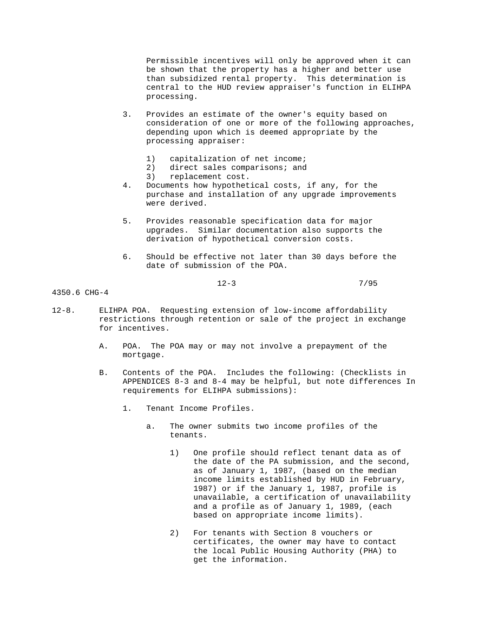Permissible incentives will only be approved when it can be shown that the property has a higher and better use than subsidized rental property. This determination is central to the HUD review appraiser's function in ELIHPA processing.

- 3. Provides an estimate of the owner's equity based on consideration of one or more of the following approaches, depending upon which is deemed appropriate by the processing appraiser:
	- 1) capitalization of net income;
	- 2) direct sales comparisons; and
	- 3) replacement cost.
- 4. Documents how hypothetical costs, if any, for the purchase and installation of any upgrade improvements were derived.
- 5. Provides reasonable specification data for major upgrades. Similar documentation also supports the derivation of hypothetical conversion costs.
- 6. Should be effective not later than 30 days before the date of submission of the POA.

12-3 7/95

- 12-8. ELIHPA POA. Requesting extension of low-income affordability restrictions through retention or sale of the project in exchange for incentives.
	- A. POA. The POA may or may not involve a prepayment of the mortgage.
	- B. Contents of the POA. Includes the following: (Checklists in APPENDICES 8-3 and 8-4 may be helpful, but note differences In requirements for ELIHPA submissions):
		- 1. Tenant Income Profiles.
			- a. The owner submits two income profiles of the tenants.
				- 1) One profile should reflect tenant data as of the date of the PA submission, and the second, as of January 1, 1987, (based on the median income limits established by HUD in February, 1987) or if the January 1, 1987, profile is unavailable, a certification of unavailability and a profile as of January 1, 1989, (each based on appropriate income limits).
				- 2) For tenants with Section 8 vouchers or certificates, the owner may have to contact the local Public Housing Authority (PHA) to get the information.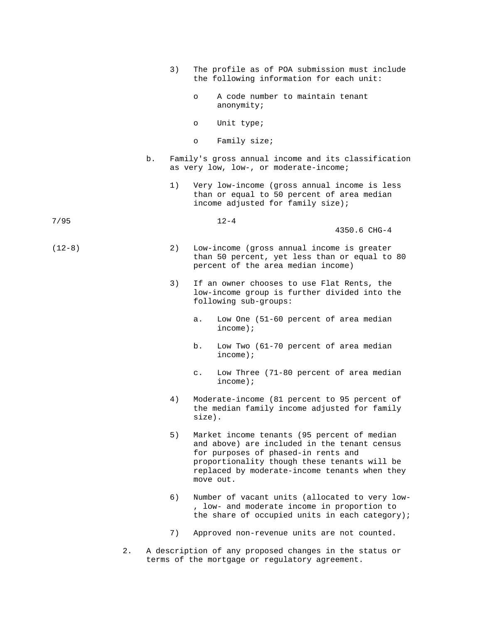|          | 3) | The profile as of POA submission must include<br>the following information for each unit:                                                                                                                                                        |
|----------|----|--------------------------------------------------------------------------------------------------------------------------------------------------------------------------------------------------------------------------------------------------|
|          |    | A code number to maintain tenant<br>$\circ$<br>anonymity;                                                                                                                                                                                        |
|          |    | Unit type;<br>$\circ$                                                                                                                                                                                                                            |
|          |    | Family size;<br>$\circ$                                                                                                                                                                                                                          |
|          | b. | Family's gross annual income and its classification<br>as very low, low-, or moderate-income;                                                                                                                                                    |
|          | 1) | Very low-income (gross annual income is less<br>than or equal to 50 percent of area median<br>income adjusted for family size);                                                                                                                  |
| 7/95     |    | $12 - 4$<br>4350.6 CHG-4                                                                                                                                                                                                                         |
| $(12-8)$ | 2) | Low-income (gross annual income is greater<br>than 50 percent, yet less than or equal to 80<br>percent of the area median income)                                                                                                                |
|          | 3) | If an owner chooses to use Flat Rents, the<br>low-income group is further divided into the<br>following sub-groups:                                                                                                                              |
|          |    | Low One (51-60 percent of area median<br>а.<br>income);                                                                                                                                                                                          |
|          |    | b.<br>Low Two (61-70 percent of area median<br>$income$ );                                                                                                                                                                                       |
|          |    | Low Three (71-80 percent of area median<br>$\mathsf{c}$ .<br>$income$ );                                                                                                                                                                         |
|          | 4) | Moderate-income (81 percent to 95 percent of<br>the median family income adjusted for family<br>size).                                                                                                                                           |
|          | 5) | Market income tenants (95 percent of median<br>and above) are included in the tenant census<br>for purposes of phased-in rents and<br>proportionality though these tenants will be<br>replaced by moderate-income tenants when they<br>move out. |
|          | 6) | Number of vacant units (allocated to very low-<br>, low- and moderate income in proportion to<br>the share of occupied units in each category);                                                                                                  |
|          | 7) | Approved non-revenue units are not counted.                                                                                                                                                                                                      |
| 2.       |    | A description of any proposed changes in the status or<br>terms of the mortgage or regulatory agreement.                                                                                                                                         |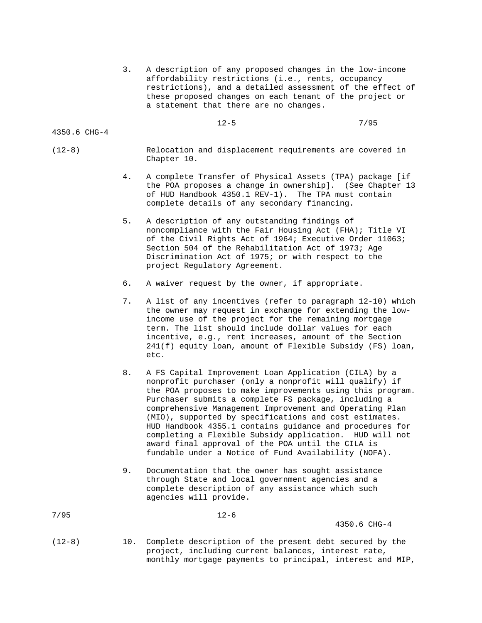3. A description of any proposed changes in the low-income affordability restrictions (i.e., rents, occupancy restrictions), and a detailed assessment of the effect of these proposed changes on each tenant of the project or a statement that there are no changes.

$$
12-5 \t\t\t\t 7/95
$$

4350.6 CHG-4

(12-8) Relocation and displacement requirements are covered in Chapter 10.

- 4. A complete Transfer of Physical Assets (TPA) package [if the POA proposes a change in ownership]. (See Chapter 13 of HUD Handbook 4350.1 REV-1). The TPA must contain complete details of any secondary financing.
- 5. A description of any outstanding findings of noncompliance with the Fair Housing Act (FHA); Title VI of the Civil Rights Act of 1964; Executive Order 11063; Section 504 of the Rehabilitation Act of 1973; Age Discrimination Act of 1975; or with respect to the project Regulatory Agreement.
- 6. A waiver request by the owner, if appropriate.
- 7. A list of any incentives (refer to paragraph 12-10) which the owner may request in exchange for extending the low income use of the project for the remaining mortgage term. The list should include dollar values for each incentive, e.g., rent increases, amount of the Section 241(f) equity loan, amount of Flexible Subsidy (FS) loan, etc.
- 8. A FS Capital Improvement Loan Application (CILA) by a nonprofit purchaser (only a nonprofit will qualify) if the POA proposes to make improvements using this program. Purchaser submits a complete FS package, including a comprehensive Management Improvement and Operating Plan (MIO), supported by specifications and cost estimates. HUD Handbook 4355.1 contains guidance and procedures for completing a Flexible Subsidy application. HUD will not award final approval of the POA until the CILA is fundable under a Notice of Fund Availability (NOFA).
- 9. Documentation that the owner has sought assistance through State and local government agencies and a complete description of any assistance which such agencies will provide.

| 7/95 |  | $12 - 6$ |
|------|--|----------|
|------|--|----------|

- 
- (12-8) 10. Complete description of the present debt secured by the project, including current balances, interest rate, monthly mortgage payments to principal, interest and MIP,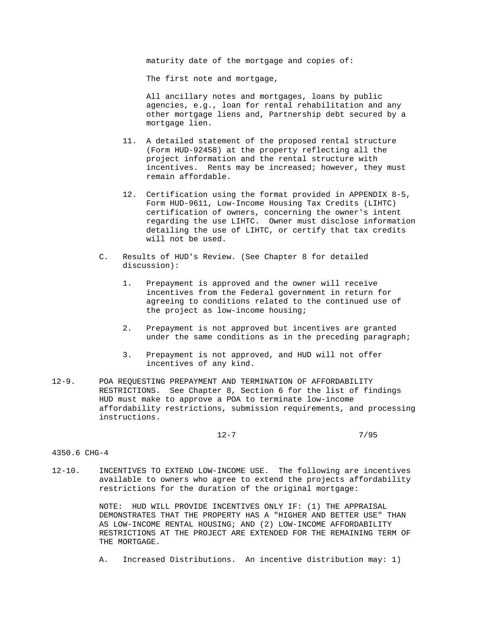maturity date of the mortgage and copies of:

The first note and mortgage,

 All ancillary notes and mortgages, loans by public agencies, e.g., loan for rental rehabilitation and any other mortgage liens and, Partnership debt secured by a mortgage lien.

- 11. A detailed statement of the proposed rental structure (Form HUD-92458) at the property reflecting all the project information and the rental structure with incentives. Rents may be increased; however, they must remain affordable.
- 12. Certification using the format provided in APPENDIX 8-5, Form HUD-9611, Low-Income Housing Tax Credits (LIHTC) certification of owners, concerning the owner's intent regarding the use LIHTC. Owner must disclose information detailing the use of LIHTC, or certify that tax credits will not be used.
- C. Results of HUD's Review. (See Chapter 8 for detailed discussion):
	- 1. Prepayment is approved and the owner will receive incentives from the Federal government in return for agreeing to conditions related to the continued use of the project as low-income housing;
	- 2. Prepayment is not approved but incentives are granted under the same conditions as in the preceding paragraph;
	- 3. Prepayment is not approved, and HUD will not offer incentives of any kind.
- 12-9. POA REQUESTING PREPAYMENT AND TERMINATION OF AFFORDABILITY RESTRICTIONS. See Chapter 8, Section 6 for the list of findings HUD must make to approve a POA to terminate low-income affordability restrictions, submission requirements, and processing instructions.

```
12-7 7/95
```
# 4350.6 CHG-4

12-10. INCENTIVES TO EXTEND LOW-INCOME USE. The following are incentives available to owners who agree to extend the projects affordability restrictions for the duration of the original mortgage:

> NOTE: HUD WILL PROVIDE INCENTIVES ONLY IF: (1) THE APPRAISAL DEMONSTRATES THAT THE PROPERTY HAS A "HIGHER AND BETTER USE" THAN AS LOW-INCOME RENTAL HOUSING; AND (2) LOW-INCOME AFFORDABILITY RESTRICTIONS AT THE PROJECT ARE EXTENDED FOR THE REMAINING TERM OF THE MORTGAGE.

A. Increased Distributions. An incentive distribution may: 1)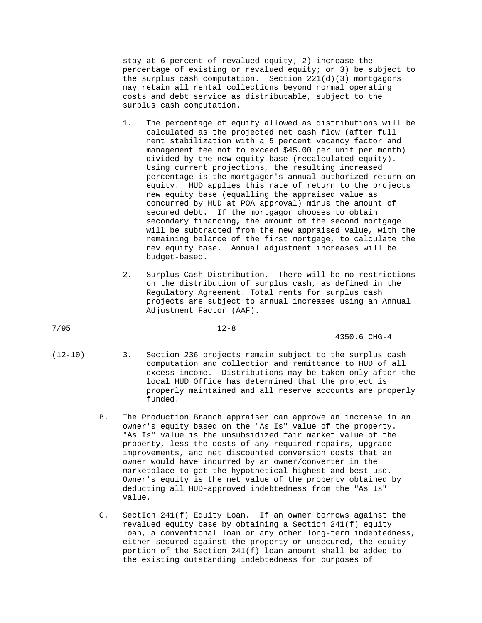stay at 6 percent of revalued equity; 2) increase the percentage of existing or revalued equity; or 3) be subject to the surplus cash computation. Section 221(d)(3) mortgagors may retain all rental collections beyond normal operating costs and debt service as distributable, subject to the surplus cash computation.

- 1. The percentage of equity allowed as distributions will be calculated as the projected net cash flow (after full rent stabilization with a 5 percent vacancy factor and management fee not to exceed \$45.00 per unit per month) divided by the new equity base (recalculated equity). Using current projections, the resulting increased percentage is the mortgagor's annual authorized return on equity. HUD applies this rate of return to the projects new equity base (equalling the appraised value as concurred by HUD at POA approval) minus the amount of secured debt. If the mortgagor chooses to obtain secondary financing, the amount of the second mortgage will be subtracted from the new appraised value, with the remaining balance of the first mortgage, to calculate the nev equity base. Annual adjustment increases will be budget-based.
- 2. Surplus Cash Distribution. There will be no restrictions on the distribution of surplus cash, as defined in the Regulatory Agreement. Total rents for surplus cash projects are subject to annual increases using an Annual Adjustment Factor (AAF).

4350.6 CHG-4

- (12-10) 3. Section 236 projects remain subject to the surplus cash computation and collection and remittance to HUD of all excess income. Distributions may be taken only after the local HUD Office has determined that the project is properly maintained and all reserve accounts are properly funded.
	- B. The Production Branch appraiser can approve an increase in an owner's equity based on the "As Is" value of the property. "As Is" value is the unsubsidized fair market value of the property, less the costs of any required repairs, upgrade improvements, and net discounted conversion costs that an owner would have incurred by an owner/converter in the marketplace to get the hypothetical highest and best use. Owner's equity is the net value of the property obtained by deducting all HUD-approved indebtedness from the "As Is" value.
	- C. SectIon 241(f) Equity Loan. If an owner borrows against the revalued equity base by obtaining a Section 241(f) equity loan, a conventional loan or any other long-term indebtedness, either secured against the property or unsecured, the equity portion of the Section 241(f) loan amount shall be added to the existing outstanding indebtedness for purposes of

7/95 12-8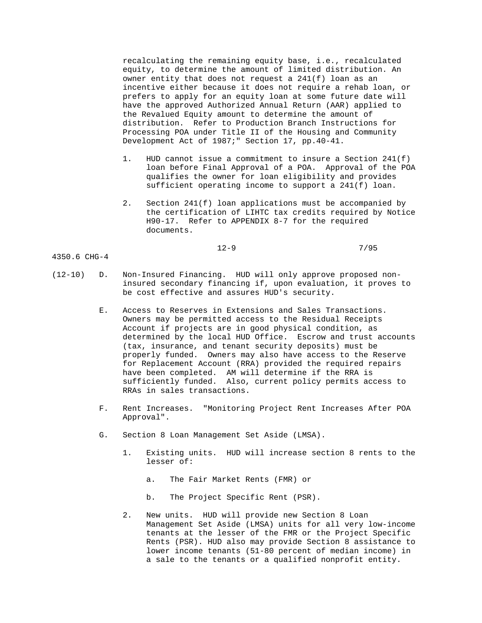recalculating the remaining equity base, i.e., recalculated equity, to determine the amount of limited distribution. An owner entity that does not request a 241(f) loan as an incentive either because it does not require a rehab loan, or prefers to apply for an equity loan at some future date will have the approved Authorized Annual Return (AAR) applied to the Revalued Equity amount to determine the amount of distribution. Refer to Production Branch Instructions for Processing POA under Title II of the Housing and Community Development Act of 1987;" Section 17, pp.40-41.

- 1. HUD cannot issue a commitment to insure a Section 241(f) loan before Final Approval of a POA. Approval of the POA qualifies the owner for loan eligibility and provides sufficient operating income to support a 241(f) loan.
- 2. Section 241(f) loan applications must be accompanied by the certification of LIHTC tax credits required by Notice H90-17. Refer to APPENDIX 8-7 for the required documents.

```
 12-9 7/95
```
- (12-10) D. Non-Insured Financing. HUD will only approve proposed non insured secondary financing if, upon evaluation, it proves to be cost effective and assures HUD's security.
	- E. Access to Reserves in Extensions and Sales Transactions. Owners may be permitted access to the Residual Receipts Account if projects are in good physical condition, as determined by the local HUD Office. Escrow and trust accounts (tax, insurance, and tenant security deposits) must be properly funded. Owners may also have access to the Reserve for Replacement Account (RRA) provided the required repairs have been completed. AM will determine if the RRA is sufficiently funded. Also, current policy permits access to RRAs in sales transactions.
	- F. Rent Increases. "Monitoring Project Rent Increases After POA Approval".
	- G. Section 8 Loan Management Set Aside (LMSA).
		- 1. Existing units. HUD will increase section 8 rents to the lesser of:
			- a. The Fair Market Rents (FMR) or
			- b. The Project Specific Rent (PSR).
		- 2. New units. HUD will provide new Section 8 Loan Management Set Aside (LMSA) units for all very low-income tenants at the lesser of the FMR or the Project Specific Rents (PSR). HUD also may provide Section 8 assistance to lower income tenants (51-80 percent of median income) in a sale to the tenants or a qualified nonprofit entity.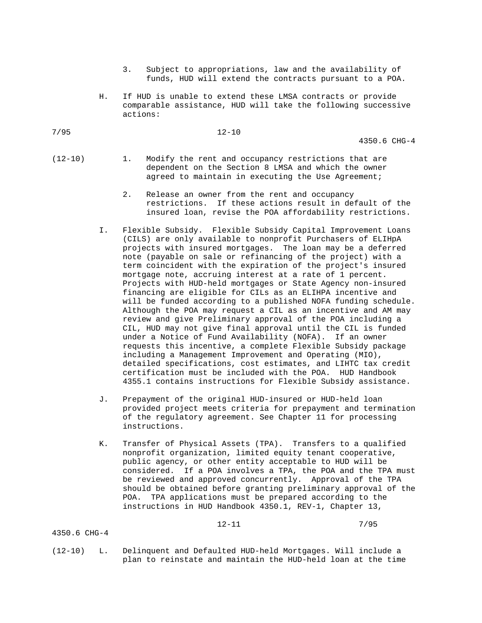- 3. Subject to appropriations, law and the availability of funds, HUD will extend the contracts pursuant to a POA.
- H. If HUD is unable to extend these LMSA contracts or provide comparable assistance, HUD will take the following successive actions:

$$
7/95 \hspace{3.2cm} 12-10
$$

4350.6 CHG-4

- 
- (12-10) 1. Modify the rent and occupancy restrictions that are dependent on the Section 8 LMSA and which the owner agreed to maintain in executing the Use Agreement;
	- 2. Release an owner from the rent and occupancy restrictions. If these actions result in default of the insured loan, revise the POA affordability restrictions.
	- I. Flexible Subsidy. Flexible Subsidy Capital Improvement Loans (CILS) are only available to nonprofit Purchasers of ELIHpA projects with insured mortgages. The loan may be a deferred note (payable on sale or refinancing of the project) with a term coincident with the expiration of the project's insured mortgage note, accruing interest at a rate of 1 percent. Projects with HUD-held mortgages or State Agency non-insured financing are eligible for CILs as an ELIHPA incentive and will be funded according to a published NOFA funding schedule. Although the POA may request a CIL as an incentive and AM may review and give Preliminary approval of the POA including a CIL, HUD may not give final approval until the CIL is funded under a Notice of Fund Availability (NOFA). If an owner requests this incentive, a complete Flexible Subsidy package including a Management Improvement and Operating (MIO), detailed specifications, cost estimates, and LIHTC tax credit certification must be included with the POA. HUD Handbook 4355.1 contains instructions for Flexible Subsidy assistance.
	- J. Prepayment of the original HUD-insured or HUD-held loan provided project meets criteria for prepayment and termination of the regulatory agreement. See Chapter 11 for processing instructions.
	- K. Transfer of Physical Assets (TPA). Transfers to a qualified nonprofit organization, limited equity tenant cooperative, public agency, or other entity acceptable to HUD will be considered. If a POA involves a TPA, the POA and the TPA must be reviewed and approved concurrently. Approval of the TPA should be obtained before granting preliminary approval of the POA. TPA applications must be prepared according to the instructions in HUD Handbook 4350.1, REV-1, Chapter 13,

$$
4350.6 \text{ CHG-4}
$$

$$
12-11 \t\t 7/95
$$

(12-10) L. Delinquent and Defaulted HUD-held Mortgages. Will include a plan to reinstate and maintain the HUD-held loan at the time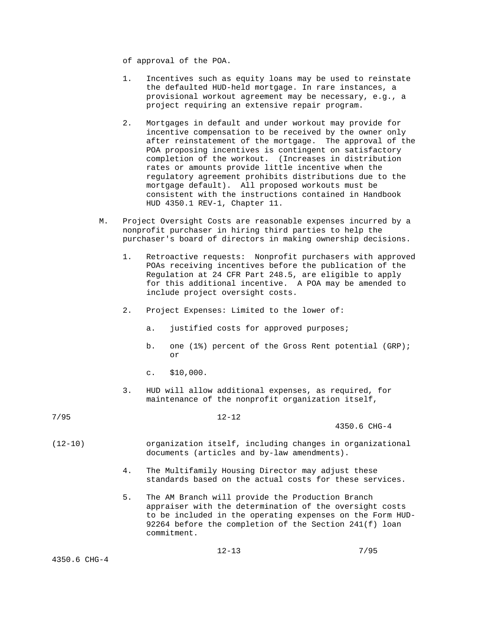of approval of the POA.

- 1. Incentives such as equity loans may be used to reinstate the defaulted HUD-held mortgage. In rare instances, a provisional workout agreement may be necessary, e.g., a project requiring an extensive repair program.
- 2. Mortgages in default and under workout may provide for incentive compensation to be received by the owner only after reinstatement of the mortgage. The approval of the POA proposing incentives is contingent on satisfactory completion of the workout. (Increases in distribution rates or amounts provide little incentive when the regulatory agreement prohibits distributions due to the mortgage default). All proposed workouts must be consistent with the instructions contained in Handbook HUD 4350.1 REV-1, Chapter 11.
- M. Project Oversight Costs are reasonable expenses incurred by a nonprofit purchaser in hiring third parties to help the purchaser's board of directors in making ownership decisions.
	- 1. Retroactive requests: Nonprofit purchasers with approved POAs receiving incentives before the publication of the Regulation at 24 CFR Part 248.5, are eligible to apply for this additional incentive. A POA may be amended to include project oversight costs.
	- 2. Project Expenses: Limited to the lower of:
		- a. justified costs for approved purposes;
- b. one (1%) percent of the Gross Rent potential (GRP); or
	- c. \$10,000.
	- 3. HUD will allow additional expenses, as required, for maintenance of the nonprofit organization itself,

7/95 12-12

- 
- (12-10) organization itself, including changes in organizational documents (articles and by-law amendments).
	- 4. The Multifamily Housing Director may adjust these standards based on the actual costs for these services.
	- 5. The AM Branch will provide the Production Branch appraiser with the determination of the oversight costs to be included in the operating expenses on the Form HUD- 92264 before the completion of the Section 241(f) loan commitment.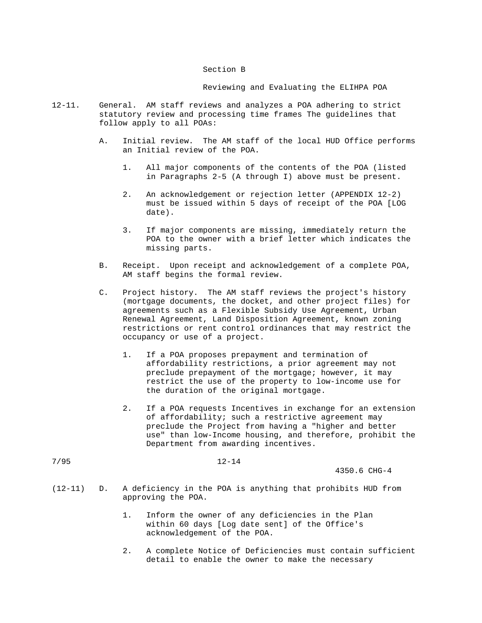# Section B

### Reviewing and Evaluating the ELIHPA POA

- 12-11. General. AM staff reviews and analyzes a POA adhering to strict statutory review and processing time frames The guidelines that follow apply to all POAs:
	- A. Initial review. The AM staff of the local HUD Office performs an Initial review of the POA.
		- 1. All major components of the contents of the POA (listed in Paragraphs 2-5 (A through I) above must be present.
		- 2. An acknowledgement or rejection letter (APPENDIX 12-2) must be issued within 5 days of receipt of the POA [LOG date).
		- 3. If major components are missing, immediately return the POA to the owner with a brief letter which indicates the missing parts.
	- B. Receipt. Upon receipt and acknowledgement of a complete POA, AM staff begins the formal review.
	- C. Project history. The AM staff reviews the project's history (mortgage documents, the docket, and other project files) for agreements such as a Flexible Subsidy Use Agreement, Urban Renewal Agreement, Land Disposition Agreement, known zoning restrictions or rent control ordinances that may restrict the occupancy or use of a project.
		- 1. If a POA proposes prepayment and termination of affordability restrictions, a prior agreement may not preclude prepayment of the mortgage; however, it may restrict the use of the property to low-income use for the duration of the original mortgage.
		- 2. If a POA requests Incentives in exchange for an extension of affordability; such a restrictive agreement may preclude the Project from having a "higher and better use" than low-Income housing, and therefore, prohibit the Department from awarding incentives.

$$
7/95
$$

4350.6 CHG-4

(12-11) D. A deficiency in the POA is anything that prohibits HUD from approving the POA.

 $12 - 14$ 

- 1. Inform the owner of any deficiencies in the Plan within 60 days [Log date sent] of the Office's acknowledgement of the POA.
- 2. A complete Notice of Deficiencies must contain sufficient detail to enable the owner to make the necessary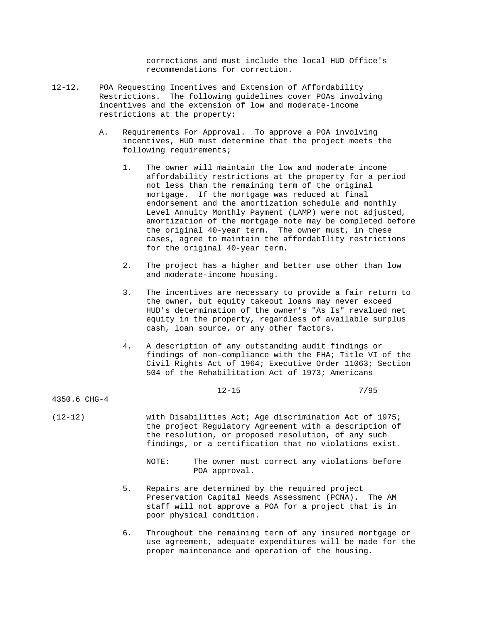corrections and must include the local HUD Office's recommendations for correction.

- 12-12. POA Requesting Incentives and Extension of Affordability Restrictions. The following guidelines cover POAs involving incentives and the extension of low and moderate-income restrictions at the property:
	- A. Requirements For Approval. To approve a POA involving incentives, HUD must determine that the project meets the following requirements;
		- 1. The owner will maintain the low and moderate income affordability restrictions at the property for a period not less than the remaining term of the original mortgage. If the mortgage was reduced at final endorsement and the amortization schedule and monthly Level Annuity Monthly Payment (LAMP) were not adjusted, amortization of the mortgage note may be completed before the original 40-year term. The owner must, in these cases, agree to maintain the affordabIlity restrictions for the original 40-year term.
		- 2. The project has a higher and better use other than low and moderate-income housing.
		- 3. The incentives are necessary to provide a fair return to the owner, but equity takeout loans may never exceed HUD's determination of the owner's "As Is" revalued net equity in the property, regardless of available surplus cash, loan source, or any other factors.
		- 4. A description of any outstanding audit findings or findings of non-compliance with the FHA; Title VI of the Civil Rights Act of 1964; Executive Order 11063; Section 504 of the Rehabilitation Act of 1973; Americans

12-15 7/95

- (12-12) with Disabilities Act; Age discrimination Act of 1975; the project Regulatory Agreement with a description of the resolution, or proposed resolution, of any such findings, or a certification that no violations exist.
	- NOTE: The owner must correct any violations before POA approval.
	- 5. Repairs are determined by the required project Preservation Capital Needs Assessment (PCNA). The AM staff will not approve a POA for a project that is in poor physical condition.
	- 6. Throughout the remaining term of any insured mortgage or use agreement, adequate expenditures will be made for the proper maintenance and operation of the housing.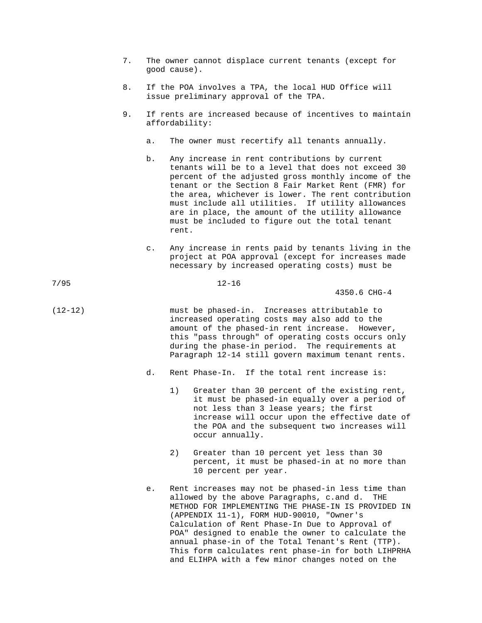- 7. The owner cannot displace current tenants (except for good cause).
- 8. If the POA involves a TPA, the local HUD Office will issue preliminary approval of the TPA.
- 9. If rents are increased because of incentives to maintain affordability:
	- a. The owner must recertify all tenants annually.
	- b. Any increase in rent contributions by current tenants will be to a level that does not exceed 30 percent of the adjusted gross monthly income of the tenant or the Section 8 Fair Market Rent (FMR) for the area, whichever is lower. The rent contribution must include all utilities. If utility allowances are in place, the amount of the utility allowance must be included to figure out the total tenant rent.
	- c. Any increase in rents paid by tenants living in the project at POA approval (except for increases made necessary by increased operating costs) must be

7/95 12-16

- (12-12) must be phased-in. Increases attributable to increased operating costs may also add to the amount of the phased-in rent increase. However, this "pass through" of operating costs occurs only during the phase-in period. The requirements at Paragraph 12-14 still govern maximum tenant rents.
	- d. Rent Phase-In. If the total rent increase is:
		- 1) Greater than 30 percent of the existing rent, it must be phased-in equally over a period of not less than 3 lease years; the first increase will occur upon the effective date of the POA and the subsequent two increases will occur annually.
		- 2) Greater than 10 percent yet less than 30 percent, it must be phased-in at no more than 10 percent per year.
	- e. Rent increases may not be phased-in less time than allowed by the above Paragraphs, c.and d. THE METHOD FOR IMPLEMENTING THE PHASE-IN IS PROVIDED IN (APPENDIX 11-1), FORM HUD-90010, "Owner's Calculation of Rent Phase-In Due to Approval of POA" designed to enable the owner to calculate the annual phase-in of the Total Tenant's Rent (TTP). This form calculates rent phase-in for both LIHPRHA and ELIHPA with a few minor changes noted on the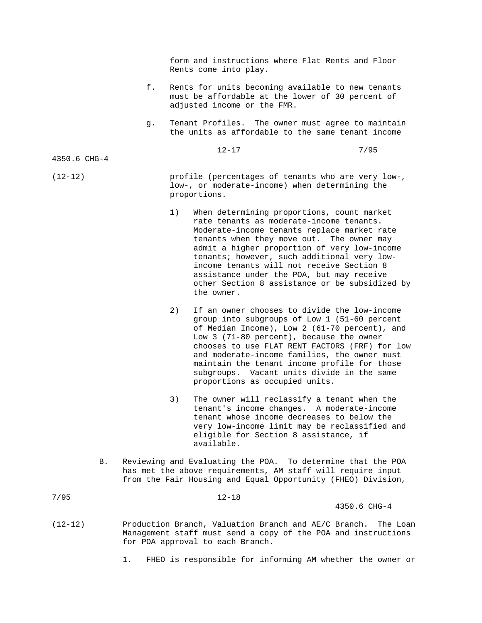form and instructions where Flat Rents and Floor Rents come into play. f. Rents for units becoming available to new tenants must be affordable at the lower of 30 percent of adjusted income or the FMR. g. Tenant Profiles. The owner must agree to maintain the units as affordable to the same tenant income 12-17 7/95 4350.6 CHG-4 (12-12) profile (percentages of tenants who are very low-, low-, or moderate-income) when determining the proportions. 1) When determining proportions, count market rate tenants as moderate-income tenants. Moderate-income tenants replace market rate tenants when they move out. The owner may admit a higher proportion of very low-income tenants; however, such additional very low-

the owner.

 2) If an owner chooses to divide the low-income group into subgroups of Low 1 (51-60 percent of Median Income), Low 2 (61-70 percent), and Low 3 (71-80 percent), because the owner chooses to use FLAT RENT FACTORS (FRF) for low and moderate-income families, the owner must maintain the tenant income profile for those subgroups. Vacant units divide in the same proportions as occupied units.

 income tenants will not receive Section 8 assistance under the POA, but may receive other Section 8 assistance or be subsidized by

- 3) The owner will reclassify a tenant when the tenant's income changes. A moderate-income tenant whose income decreases to below the very low-income limit may be reclassified and eligible for Section 8 assistance, if available.
- B. Reviewing and Evaluating the POA. To determine that the POA has met the above requirements, AM staff will require input from the Fair Housing and Equal Opportunity (FHEO) Division,

# 7/95 12-18

- (12-12) Production Branch, Valuation Branch and AE/C Branch. The Loan Management staff must send a copy of the POA and instructions for POA approval to each Branch.
	- 1. FHEO is responsible for informing AM whether the owner or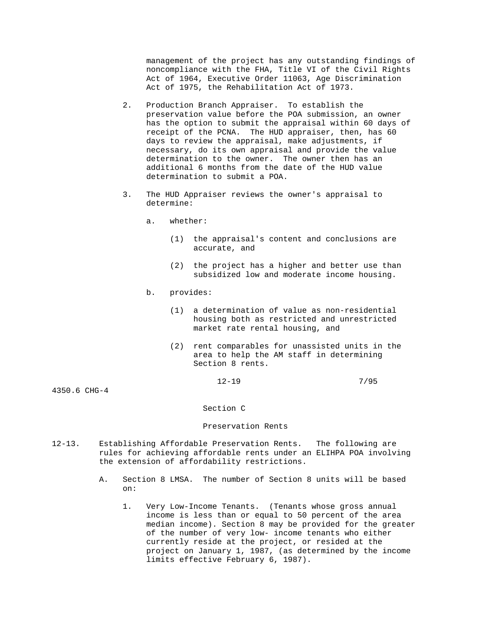management of the project has any outstanding findings of noncompliance with the FHA, Title VI of the Civil Rights Act of 1964, Executive Order 11063, Age Discrimination Act of 1975, the Rehabilitation Act of 1973.

- 2. Production Branch Appraiser. To establish the preservation value before the POA submission, an owner has the option to submit the appraisal within 60 days of receipt of the PCNA. The HUD appraiser, then, has 60 days to review the appraisal, make adjustments, if necessary, do its own appraisal and provide the value determination to the owner. The owner then has an additional 6 months from the date of the HUD value determination to submit a POA.
- 3. The HUD Appraiser reviews the owner's appraisal to determine:
	- a. whether:
		- (1) the appraisal's content and conclusions are accurate, and
		- (2) the project has a higher and better use than subsidized low and moderate income housing.
	- b. provides:
		- (1) a determination of value as non-residential housing both as restricted and unrestricted market rate rental housing, and
		- (2) rent comparables for unassisted units in the area to help the AM staff in determining Section 8 rents.

4350.6 CHG-4

Section C

Preservation Rents

- 12-13. Establishing Affordable Preservation Rents. The following are rules for achieving affordable rents under an ELIHPA POA involving the extension of affordability restrictions.
	- A. Section 8 LMSA. The number of Section 8 units will be based on:
		- 1. Very Low-Income Tenants. (Tenants whose gross annual income is less than or equal to 50 percent of the area median income). Section 8 may be provided for the greater of the number of very low- income tenants who either currently reside at the project, or resided at the project on January 1, 1987, (as determined by the income limits effective February 6, 1987).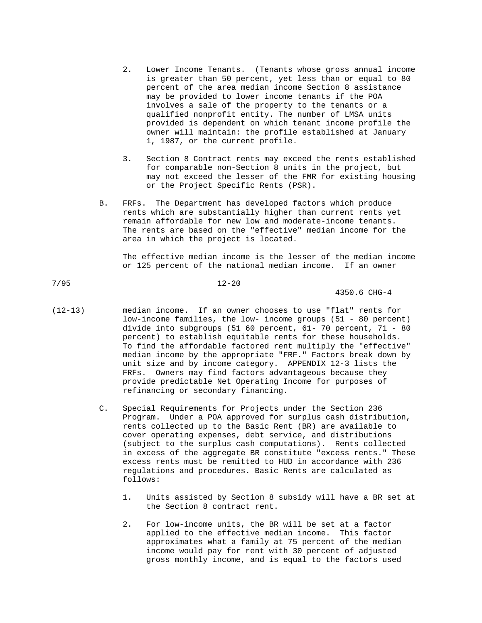- 2. Lower Income Tenants. (Tenants whose gross annual income is greater than 50 percent, yet less than or equal to 80 percent of the area median income Section 8 assistance may be provided to lower income tenants if the POA involves a sale of the property to the tenants or a qualified nonprofit entity. The number of LMSA units provided is dependent on which tenant income profile the owner will maintain: the profile established at January 1, 1987, or the current profile.
- 3. Section 8 Contract rents may exceed the rents established for comparable non-Section 8 units in the project, but may not exceed the lesser of the FMR for existing housing or the Project Specific Rents (PSR).
- B. FRFs. The Department has developed factors which produce rents which are substantially higher than current rents yet remain affordable for new low and moderate-income tenants. The rents are based on the "effective" median income for the area in which the project is located.

 The effective median income is the lesser of the median income or 125 percent of the national median income. If an owner

$$
7/95
$$

 $12 - 20$ 

- (12-13) median income. If an owner chooses to use "flat" rents for low-income families, the low- income groups (51 - 80 percent) divide into subgroups (51 60 percent, 61- 70 percent, 71 - 80 percent) to establish equitable rents for these households. To find the affordable factored rent multiply the "effective" median income by the appropriate "FRF." Factors break down by unit size and by income category. APPENDIX 12-3 lists the FRFs. Owners may find factors advantageous because they provide predictable Net Operating Income for purposes of refinancing or secondary financing.
	- C. Special Requirements for Projects under the Section 236 Program. Under a POA approved for surplus cash distribution, rents collected up to the Basic Rent (BR) are available to cover operating expenses, debt service, and distributions (subject to the surplus cash computations). Rents collected in excess of the aggregate BR constitute "excess rents." These excess rents must be remitted to HUD in accordance with 236 regulations and procedures. Basic Rents are calculated as follows:
		- 1. Units assisted by Section 8 subsidy will have a BR set at the Section 8 contract rent.
		- 2. For low-income units, the BR will be set at a factor applied to the effective median income. This factor approximates what a family at 75 percent of the median income would pay for rent with 30 percent of adjusted gross monthly income, and is equal to the factors used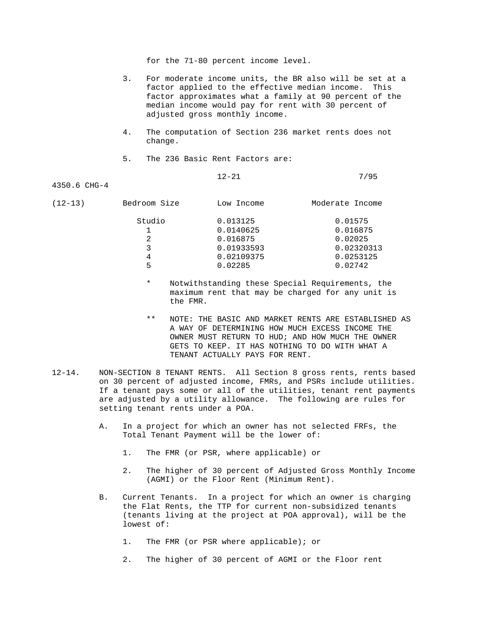for the 71-80 percent income level.

- 3. For moderate income units, the BR also will be set at a factor applied to the effective median income. This factor approximates what a family at 90 percent of the median income would pay for rent with 30 percent of adjusted gross monthly income.
- 4. The computation of Section 236 market rents does not change.
- 5. The 236 Basic Rent Factors are:

| $(12-13)$ | Bedroom Size | Low Income | Moderate Income |
|-----------|--------------|------------|-----------------|
|           | Studio       | 0.013125   | 0.01575         |
|           |              | 0.0140625  | 0.016875        |
|           |              | 0.016875   | 0.02025         |
|           |              | 0.01933593 | 0.02320313      |
|           | 4            | 0.02109375 | 0.0253125       |
|           | 5            | 0.02285    | 0.02742         |
|           |              |            |                 |

- Notwithstanding these Special Requirements, the maximum rent that may be charged for any unit is the FMR.
- \*\* NOTE: THE BASIC AND MARKET RENTS ARE ESTABLISHED AS A WAY OF DETERMINING HOW MUCH EXCESS INCOME THE OWNER MUST RETURN TO HUD; AND HOW MUCH THE OWNER GETS TO KEEP. IT HAS NOTHING TO DO WITH WHAT A TENANT ACTUALLY PAYS FOR RENT.
- 12-14. NON-SECTION 8 TENANT RENTS. All Section 8 gross rents, rents based on 30 percent of adjusted income, FMRs, and PSRs include utilities. If a tenant pays some or all of the utilities, tenant rent payments are adjusted by a utility allowance. The following are rules for setting tenant rents under a POA.
	- A. In a project for which an owner has not selected FRFs, the Total Tenant Payment will be the lower of:
		- 1. The FMR (or PSR, where applicable) or
		- 2. The higher of 30 percent of Adjusted Gross Monthly Income (AGMI) or the Floor Rent (Minimum Rent).
	- B. Current Tenants. In a project for which an owner is charging the Flat Rents, the TTP for current non-subsidized tenants (tenants living at the project at POA approval), will be the lowest of:
		- 1. The FMR (or PSR where applicable); or
		- 2. The higher of 30 percent of AGMI or the Floor rent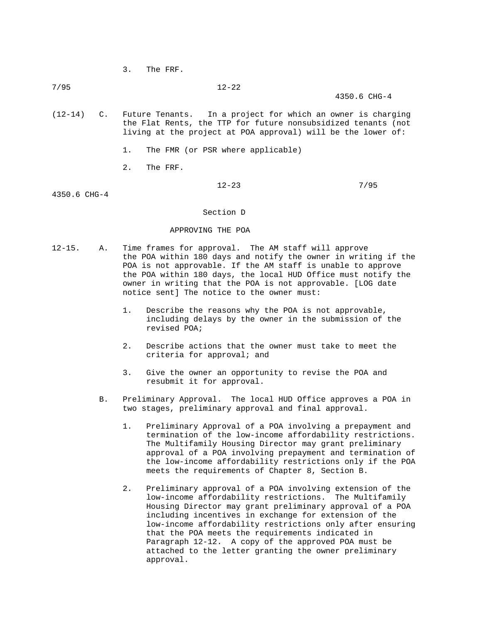3. The FRF.

7/95 12-22

## 4350.6 CHG-4

- (12-14) C. Future Tenants. In a project for which an owner is charging the Flat Rents, the TTP for future nonsubsidized tenants (not living at the project at POA approval) will be the lower of:
	- 1. The FMR (or PSR where applicable)
	- 2. The FRF.

### 12-23 7/95

4350.6 CHG-4

#### Section D

## APPROVING THE POA

- 12-15. A. Time frames for approval. The AM staff will approve the POA within 180 days and notify the owner in writing if the POA is not approvable. If the AM staff is unable to approve the POA within 180 days, the local HUD Office must notify the owner in writing that the POA is not approvable. [LOG date notice sent] The notice to the owner must:
	- 1. Describe the reasons why the POA is not approvable, including delays by the owner in the submission of the revised POA;
	- 2. Describe actions that the owner must take to meet the criteria for approval; and
	- 3. Give the owner an opportunity to revise the POA and resubmit it for approval.
	- B. Preliminary Approval. The local HUD Office approves a POA in two stages, preliminary approval and final approval.
		- 1. Preliminary Approval of a POA involving a prepayment and termination of the low-income affordability restrictions. The Multifamily Housing Director may grant preliminary approval of a POA involving prepayment and termination of the low-income affordability restrictions only if the POA meets the requirements of Chapter 8, Section B.
		- 2. Preliminary approval of a POA involving extension of the low-income affordability restrictions. The Multifamily Housing Director may grant preliminary approval of a POA including incentives in exchange for extension of the low-income affordability restrictions only after ensuring that the POA meets the requirements indicated in Paragraph 12-12. A copy of the approved POA must be attached to the letter granting the owner preliminary approval.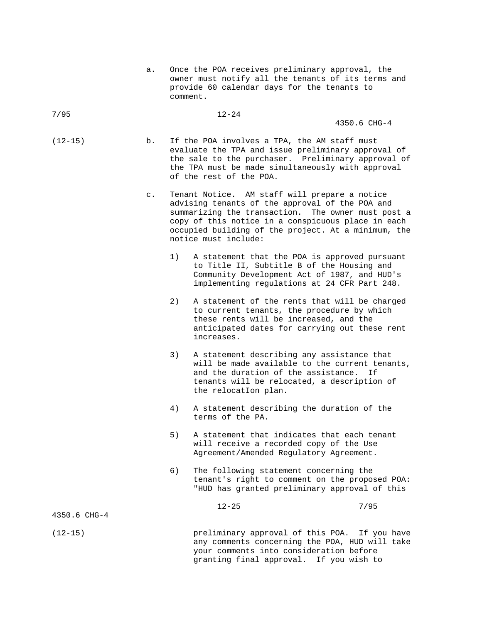| Once the POA receives preliminary approval, the    |
|----------------------------------------------------|
| owner must notify all the tenants of its terms and |
| provide 60 calendar days for the tenants to        |
| comment.                                           |

7/95 12-24

# 4350.6 CHG-4

- (12-15) b. If the POA involves a TPA, the AM staff must evaluate the TPA and issue preliminary approval of the sale to the purchaser. Preliminary approval of the TPA must be made simultaneously with approval of the rest of the POA.
	- c. Tenant Notice. AM staff will prepare a notice advising tenants of the approval of the POA and summarizing the transaction. The owner must post a copy of this notice in a conspicuous place in each occupied building of the project. At a minimum, the notice must include:
		- 1) A statement that the POA is approved pursuant to Title II, Subtitle B of the Housing and Community Development Act of 1987, and HUD's implementing regulations at 24 CFR Part 248.
		- 2) A statement of the rents that will be charged to current tenants, the procedure by which these rents will be increased, and the anticipated dates for carrying out these rent increases.
		- 3) A statement describing any assistance that will be made available to the current tenants, and the duration of the assistance. If tenants will be relocated, a description of the relocatIon plan.
		- 4) A statement describing the duration of the terms of the PA.
		- 5) A statement that indicates that each tenant will receive a recorded copy of the Use Agreement/Amended Regulatory Agreement.
		- 6) The following statement concerning the tenant's right to comment on the proposed POA: "HUD has granted preliminary approval of this

12-25 7/95

4350.6 CHG-4

(12-15) preliminary approval of this POA. If you have any comments concerning the POA, HUD will take your comments into consideration before granting final approval. If you wish to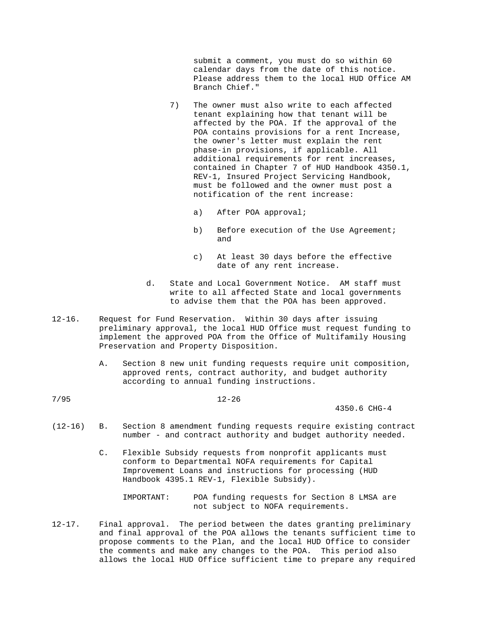submit a comment, you must do so within 60 calendar days from the date of this notice. Please address them to the local HUD Office AM Branch Chief."

- 7) The owner must also write to each affected tenant explaining how that tenant will be affected by the POA. If the approval of the POA contains provisions for a rent Increase, the owner's letter must explain the rent phase-in provisions, if applicable. All additional requirements for rent increases, contained in Chapter 7 of HUD Handbook 4350.1, REV-1, Insured Project Servicing Handbook, must be followed and the owner must post a notification of the rent increase:
	- a) After POA approval;
- b) Before execution of the Use Agreement; and the contract of the contract of the contract of the contract of the contract of the contract of the contract of the contract of the contract of the contract of the contract of the contract of the contract of the contra
	- c) At least 30 days before the effective date of any rent increase.
	- d. State and Local Government Notice. AM staff must write to all affected State and local governments to advise them that the POA has been approved.
- 12-16. Request for Fund Reservation. Within 30 days after issuing preliminary approval, the local HUD Office must request funding to implement the approved POA from the Office of Multifamily Housing Preservation and Property Disposition.
	- A. Section 8 new unit funding requests require unit composition, approved rents, contract authority, and budget authority according to annual funding instructions.
- 7/95 12-26

4350.6 CHG-4

- (12-16) B. Section 8 amendment funding requests require existing contract number - and contract authority and budget authority needed.
	- C. Flexible Subsidy requests from nonprofit applicants must conform to Departmental NOFA requirements for Capital Improvement Loans and instructions for processing (HUD Handbook 4395.1 REV-1, Flexible Subsidy).

 IMPORTANT: POA funding requests for Section 8 LMSA are not subject to NOFA requirements.

12-17. Final approval. The period between the dates granting preliminary and final approval of the POA allows the tenants sufficient time to propose comments to the Plan, and the local HUD Office to consider the comments and make any changes to the POA. This period also allows the local HUD Office sufficient time to prepare any required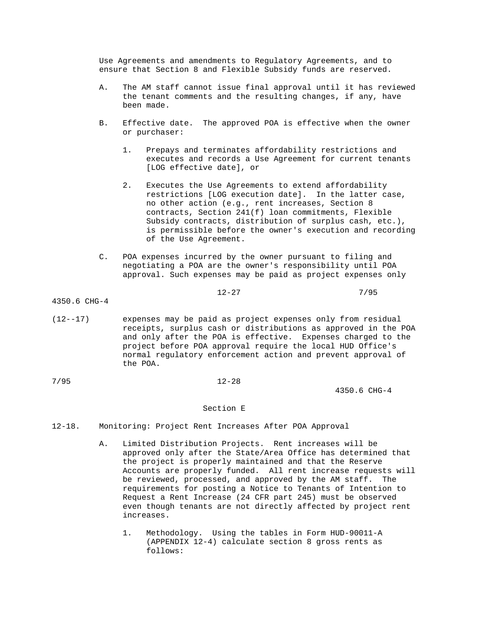Use Agreements and amendments to Regulatory Agreements, and to ensure that Section 8 and Flexible Subsidy funds are reserved.

- A. The AM staff cannot issue final approval until it has reviewed the tenant comments and the resulting changes, if any, have been made.
- B. Effective date. The approved POA is effective when the owner or purchaser:
	- 1. Prepays and terminates affordability restrictions and executes and records a Use Agreement for current tenants [LOG effective date], or
	- 2. Executes the Use Agreements to extend affordability restrictions [LOG execution date]. In the latter case, no other action (e.g., rent increases, Section 8 contracts, Section 241(f) loan commitments, Flexible Subsidy contracts, distribution of surplus cash, etc.), is permissible before the owner's execution and recording of the Use Agreement.
- C. POA expenses incurred by the owner pursuant to filing and negotiating a POA are the owner's responsibility until POA approval. Such expenses may be paid as project expenses only

$$
12-27 \t\t\t\t 7/95
$$

# 4350.6 CHG-4

- (12--17) expenses may be paid as project expenses only from residual receipts, surplus cash or distributions as approved in the POA and only after the POA is effective. Expenses charged to the project before POA approval require the local HUD Office's normal regulatory enforcement action and prevent approval of the POA.
- 7/95 12-28

4350.6 CHG-4

#### Section E

- 12-18. Monitoring: Project Rent Increases After POA Approval
	- A. Limited Distribution Projects. Rent increases will be approved only after the State/Area Office has determined that the project is properly maintained and that the Reserve Accounts are properly funded. All rent increase requests will be reviewed, processed, and approved by the AM staff. The requirements for posting a Notice to Tenants of Intention to Request a Rent Increase (24 CFR part 245) must be observed even though tenants are not directly affected by project rent increases.
		- 1. Methodology. Using the tables in Form HUD-90011-A (APPENDIX 12-4) calculate section 8 gross rents as follows: